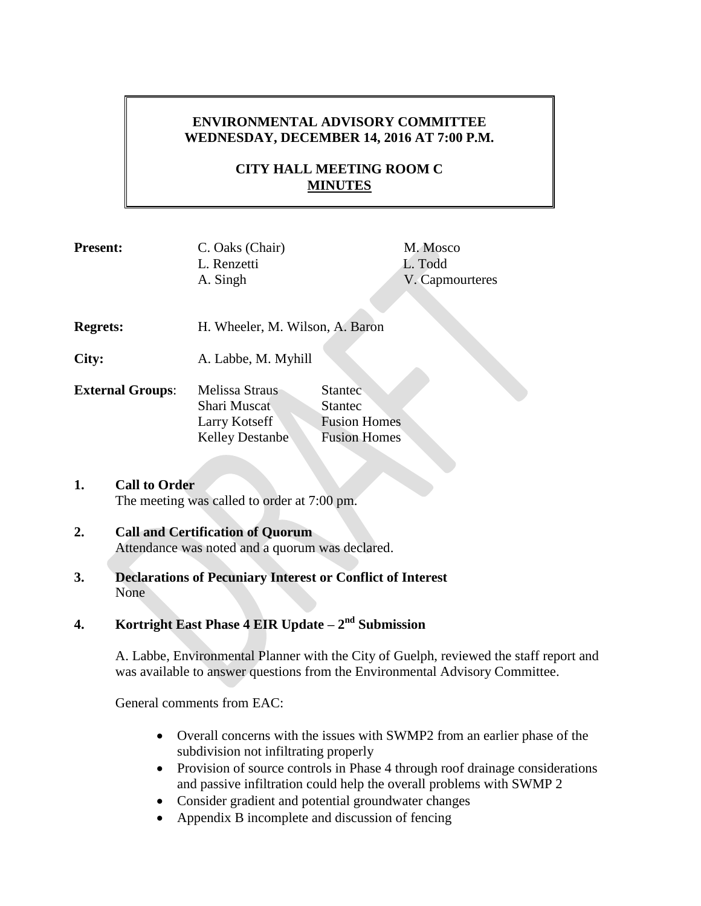## **ENVIRONMENTAL ADVISORY COMMITTEE WEDNESDAY, DECEMBER 14, 2016 AT 7:00 P.M.**

# **CITY HALL MEETING ROOM C MINUTES**

| <b>Present:</b>         | C. Oaks (Chair)<br>L. Renzetti<br>A. Singh |                     | M. Mosco<br>L. Todd<br>V. Capmourteres |  |
|-------------------------|--------------------------------------------|---------------------|----------------------------------------|--|
|                         |                                            |                     |                                        |  |
| <b>Regrets:</b>         | H. Wheeler, M. Wilson, A. Baron            |                     |                                        |  |
|                         |                                            |                     |                                        |  |
| City:                   | A. Labbe, M. Myhill                        |                     |                                        |  |
|                         |                                            |                     |                                        |  |
| <b>External Groups:</b> | Melissa Straus                             | <b>Stantec</b>      |                                        |  |
|                         | Shari Muscat                               | <b>Stantec</b>      |                                        |  |
|                         | Larry Kotseff                              | <b>Fusion Homes</b> |                                        |  |
|                         | <b>Kelley Destanbe</b>                     | <b>Fusion Homes</b> |                                        |  |
|                         |                                            |                     |                                        |  |

## **1. Call to Order** The meeting was called to order at 7:00 pm.

### **2. Call and Certification of Quorum**

Attendance was noted and a quorum was declared.

**3. Declarations of Pecuniary Interest or Conflict of Interest** None

# **4. Kortright East Phase 4 EIR Update – 2 nd Submission**

A. Labbe, Environmental Planner with the City of Guelph, reviewed the staff report and was available to answer questions from the Environmental Advisory Committee.

General comments from EAC:

- Overall concerns with the issues with SWMP2 from an earlier phase of the subdivision not infiltrating properly
- Provision of source controls in Phase 4 through roof drainage considerations and passive infiltration could help the overall problems with SWMP 2
- Consider gradient and potential groundwater changes
- Appendix B incomplete and discussion of fencing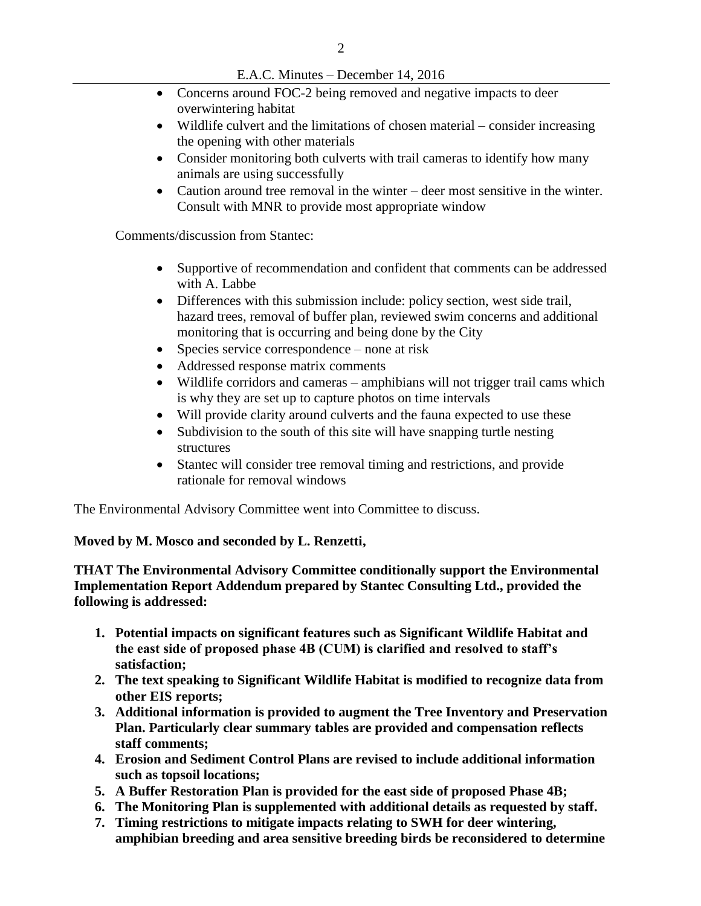- Concerns around FOC-2 being removed and negative impacts to deer overwintering habitat
- Wildlife culvert and the limitations of chosen material consider increasing the opening with other materials
- Consider monitoring both culverts with trail cameras to identify how many animals are using successfully
- Caution around tree removal in the winter deer most sensitive in the winter. Consult with MNR to provide most appropriate window

Comments/discussion from Stantec:

- Supportive of recommendation and confident that comments can be addressed with A. Labbe
- Differences with this submission include: policy section, west side trail, hazard trees, removal of buffer plan, reviewed swim concerns and additional monitoring that is occurring and being done by the City
- Species service correspondence none at risk
- Addressed response matrix comments
- Wildlife corridors and cameras amphibians will not trigger trail cams which is why they are set up to capture photos on time intervals
- Will provide clarity around culverts and the fauna expected to use these
- Subdivision to the south of this site will have snapping turtle nesting structures
- Stantec will consider tree removal timing and restrictions, and provide rationale for removal windows

The Environmental Advisory Committee went into Committee to discuss.

### **Moved by M. Mosco and seconded by L. Renzetti,**

**THAT The Environmental Advisory Committee conditionally support the Environmental Implementation Report Addendum prepared by Stantec Consulting Ltd., provided the following is addressed:** 

- **1. Potential impacts on significant features such as Significant Wildlife Habitat and the east side of proposed phase 4B (CUM) is clarified and resolved to staff's satisfaction;**
- **2. The text speaking to Significant Wildlife Habitat is modified to recognize data from other EIS reports;**
- **3. Additional information is provided to augment the Tree Inventory and Preservation Plan. Particularly clear summary tables are provided and compensation reflects staff comments;**
- **4. Erosion and Sediment Control Plans are revised to include additional information such as topsoil locations;**
- **5. A Buffer Restoration Plan is provided for the east side of proposed Phase 4B;**
- **6. The Monitoring Plan is supplemented with additional details as requested by staff.**
- **7. Timing restrictions to mitigate impacts relating to SWH for deer wintering, amphibian breeding and area sensitive breeding birds be reconsidered to determine**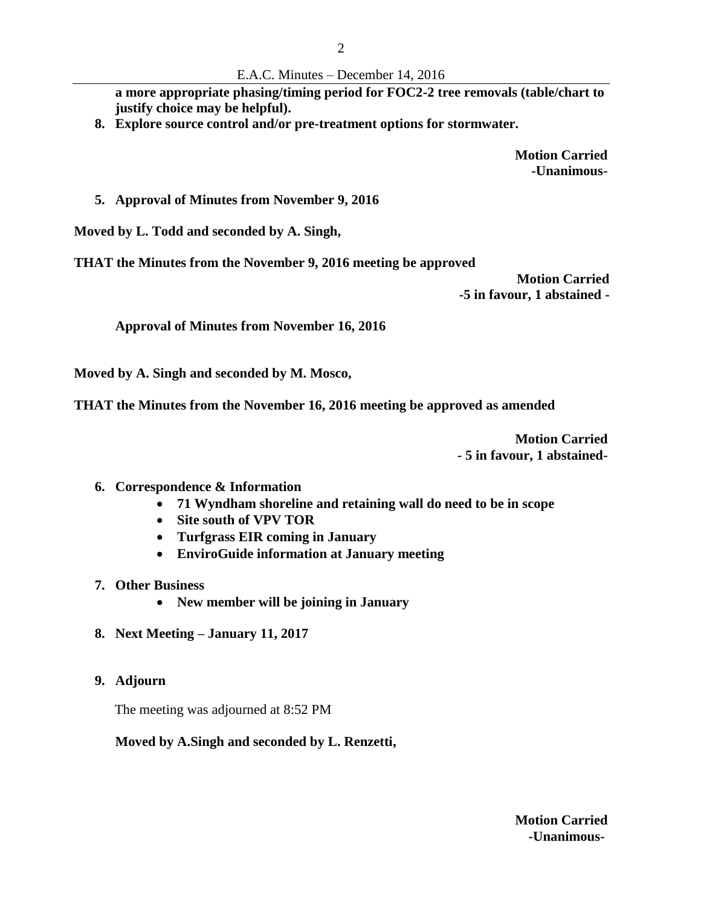#### E.A.C. Minutes – December 14, 2016

**a more appropriate phasing/timing period for FOC2-2 tree removals (table/chart to justify choice may be helpful).**

**8. Explore source control and/or pre-treatment options for stormwater.**

**Motion Carried -Unanimous-**

### **5. Approval of Minutes from November 9, 2016**

**Moved by L. Todd and seconded by A. Singh,** 

**THAT the Minutes from the November 9, 2016 meeting be approved**

**Motion Carried -5 in favour, 1 abstained -**

**Approval of Minutes from November 16, 2016**

**Moved by A. Singh and seconded by M. Mosco,** 

**THAT the Minutes from the November 16, 2016 meeting be approved as amended**

**Motion Carried - 5 in favour, 1 abstained-**

- **6. Correspondence & Information**
	- **71 Wyndham shoreline and retaining wall do need to be in scope**
	- **Site south of VPV TOR**
	- **Turfgrass EIR coming in January**
	- **EnviroGuide information at January meeting**
- **7. Other Business**
	- **New member will be joining in January**
- **8. Next Meeting – January 11, 2017**
- **9. Adjourn**

The meeting was adjourned at 8:52 PM

### **Moved by A.Singh and seconded by L. Renzetti,**

**Motion Carried -Unanimous-**